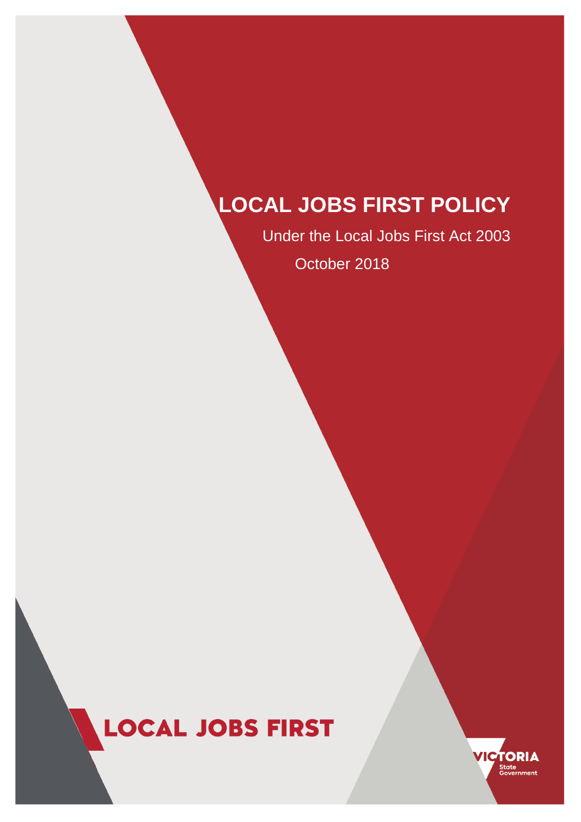# **LOCAL JOBS FIRST POLICY**

Under the Local Jobs First Act 2003 October 2018

# **LOCAL JOBS FIRST**

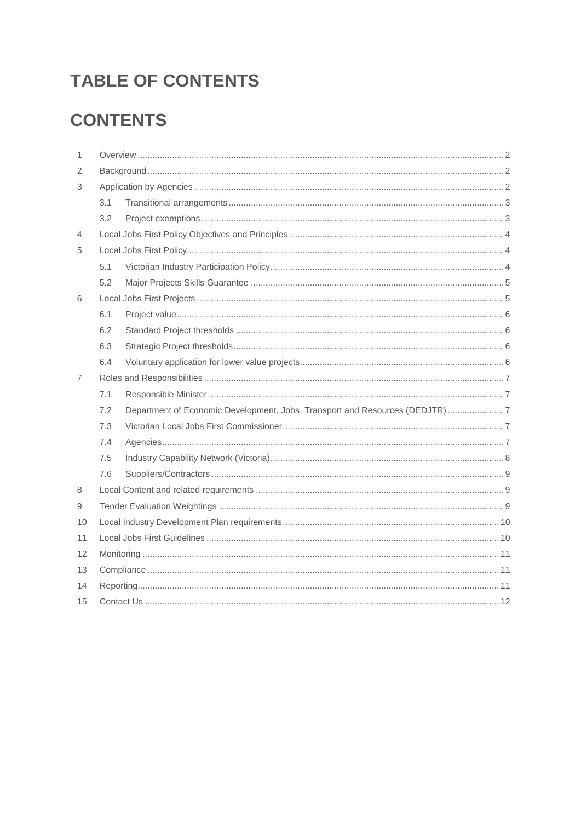# **TABLE OF CONTENTS**

# **CONTENTS**

| 1  |     |                                                                             |  |
|----|-----|-----------------------------------------------------------------------------|--|
| 2  |     |                                                                             |  |
| 3  |     |                                                                             |  |
|    | 3.1 |                                                                             |  |
|    | 3.2 |                                                                             |  |
| 4  |     |                                                                             |  |
| 5  |     |                                                                             |  |
|    | 5.1 |                                                                             |  |
|    | 5.2 |                                                                             |  |
| 6  |     |                                                                             |  |
|    | 6.1 |                                                                             |  |
|    | 6.2 |                                                                             |  |
|    | 6.3 |                                                                             |  |
|    | 6.4 |                                                                             |  |
| 7  |     |                                                                             |  |
|    | 7.1 |                                                                             |  |
|    | 7.2 | Department of Economic Development, Jobs, Transport and Resources (DEDJTR)7 |  |
|    | 7.3 |                                                                             |  |
|    | 7.4 |                                                                             |  |
|    | 7.5 |                                                                             |  |
|    | 7.6 |                                                                             |  |
| 8  |     |                                                                             |  |
| 9  |     |                                                                             |  |
| 10 |     |                                                                             |  |
| 11 |     |                                                                             |  |
| 12 |     |                                                                             |  |
| 13 |     |                                                                             |  |
| 14 |     |                                                                             |  |
| 15 |     |                                                                             |  |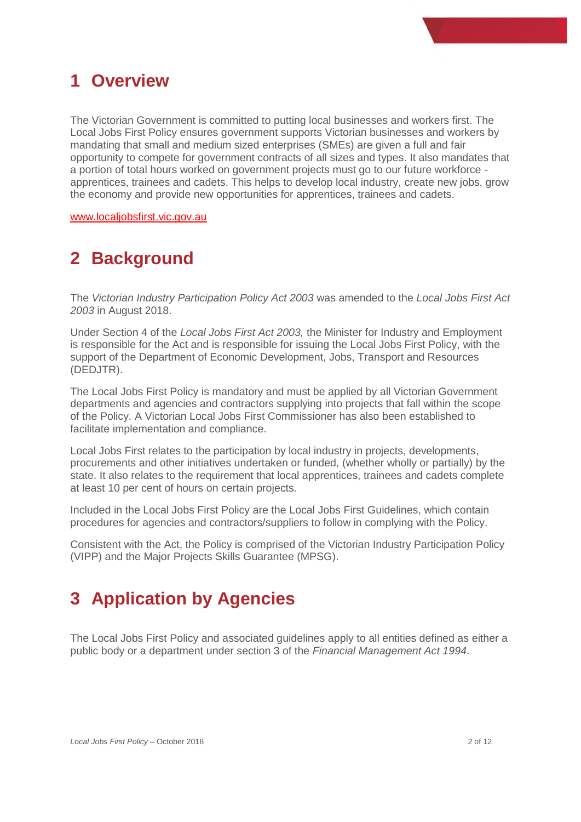### <span id="page-2-0"></span>**1 Overview**

The Victorian Government is committed to putting local businesses and workers first. The Local Jobs First Policy ensures government supports Victorian businesses and workers by mandating that small and medium sized enterprises (SMEs) are given a full and fair opportunity to compete for government contracts of all sizes and types. It also mandates that a portion of total hours worked on government projects must go to our future workforce apprentices, trainees and cadets. This helps to develop local industry, create new jobs, grow the economy and provide new opportunities for apprentices, trainees and cadets.

www.localiobsfirst.vic.gov.au

# <span id="page-2-1"></span>**2 Background**

The *Victorian Industry Participation Policy Act 2003* was amended to the *Local Jobs First Act 2003* in August 2018.

Under Section 4 of the *Local Jobs First Act 2003,* the Minister for Industry and Employment is responsible for the Act and is responsible for issuing the Local Jobs First Policy, with the support of the Department of Economic Development, Jobs, Transport and Resources (DEDJTR).

The Local Jobs First Policy is mandatory and must be applied by all Victorian Government departments and agencies and contractors supplying into projects that fall within the scope of the Policy. A Victorian Local Jobs First Commissioner has also been established to facilitate implementation and compliance.

Local Jobs First relates to the participation by local industry in projects, developments, procurements and other initiatives undertaken or funded, (whether wholly or partially) by the state. It also relates to the requirement that local apprentices, trainees and cadets complete at least 10 per cent of hours on certain projects.

Included in the Local Jobs First Policy are the Local Jobs First Guidelines, which contain procedures for agencies and contractors/suppliers to follow in complying with the Policy.

Consistent with the Act, the Policy is comprised of the Victorian Industry Participation Policy (VIPP) and the Major Projects Skills Guarantee (MPSG).

# <span id="page-2-2"></span>**3 Application by Agencies**

The Local Jobs First Policy and associated guidelines apply to all entities defined as either a public body or a department under section 3 of the *Financial Management Act 1994*.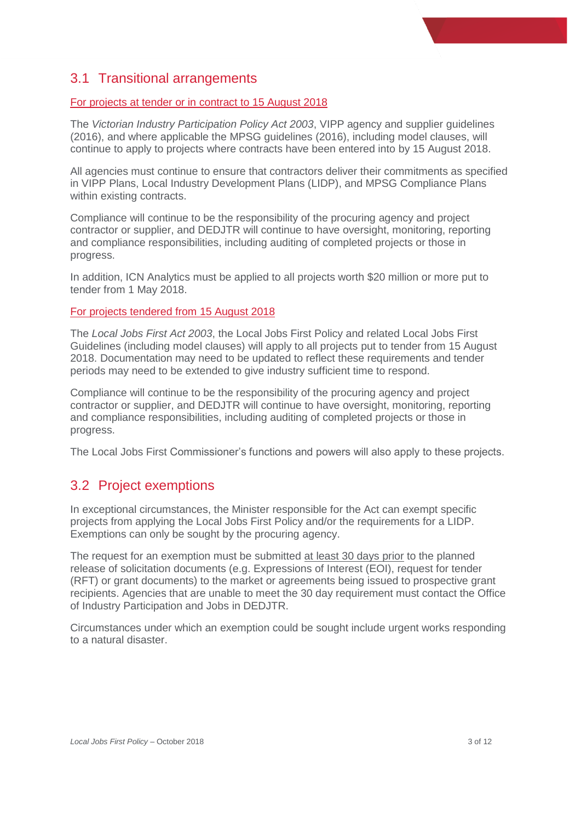#### <span id="page-3-0"></span>3.1 Transitional arrangements

#### For projects at tender or in contract to 15 August 2018

The *Victorian Industry Participation Policy Act 2003*, VIPP agency and supplier guidelines (2016), and where applicable the MPSG guidelines (2016), including model clauses, will continue to apply to projects where contracts have been entered into by 15 August 2018.

All agencies must continue to ensure that contractors deliver their commitments as specified in VIPP Plans, Local Industry Development Plans (LIDP), and MPSG Compliance Plans within existing contracts.

Compliance will continue to be the responsibility of the procuring agency and project contractor or supplier, and DEDJTR will continue to have oversight, monitoring, reporting and compliance responsibilities, including auditing of completed projects or those in progress.

In addition, ICN Analytics must be applied to all projects worth \$20 million or more put to tender from 1 May 2018.

#### For projects tendered from 15 August 2018

The *Local Jobs First Act 2003*, the Local Jobs First Policy and related Local Jobs First Guidelines (including model clauses) will apply to all projects put to tender from 15 August 2018. Documentation may need to be updated to reflect these requirements and tender periods may need to be extended to give industry sufficient time to respond.

Compliance will continue to be the responsibility of the procuring agency and project contractor or supplier, and DEDJTR will continue to have oversight, monitoring, reporting and compliance responsibilities, including auditing of completed projects or those in progress.

The Local Jobs First Commissioner's functions and powers will also apply to these projects.

#### <span id="page-3-1"></span>3.2 Project exemptions

In exceptional circumstances, the Minister responsible for the Act can exempt specific projects from applying the Local Jobs First Policy and/or the requirements for a LIDP. Exemptions can only be sought by the procuring agency.

The request for an exemption must be submitted at least 30 days prior to the planned release of solicitation documents (e.g. Expressions of Interest (EOI), request for tender (RFT) or grant documents) to the market or agreements being issued to prospective grant recipients. Agencies that are unable to meet the 30 day requirement must contact the Office of Industry Participation and Jobs in DEDJTR.

Circumstances under which an exemption could be sought include urgent works responding to a natural disaster.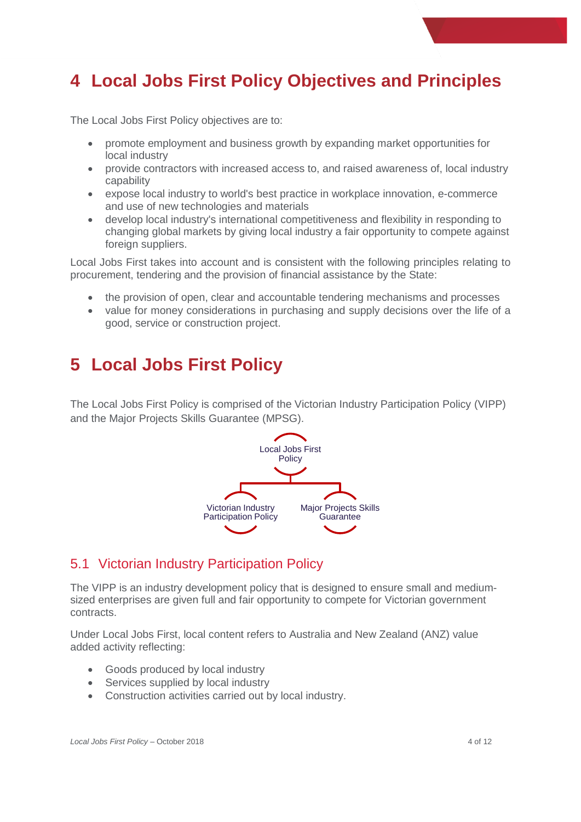# <span id="page-4-0"></span>**4 Local Jobs First Policy Objectives and Principles**

The Local Jobs First Policy objectives are to:

- promote employment and business growth by expanding market opportunities for local industry
- provide contractors with increased access to, and raised awareness of, local industry capability
- expose local industry to world's best practice in workplace innovation, e-commerce and use of new technologies and materials
- develop local industry's international competitiveness and flexibility in responding to changing global markets by giving local industry a fair opportunity to compete against foreign suppliers.

Local Jobs First takes into account and is consistent with the following principles relating to procurement, tendering and the provision of financial assistance by the State:

- the provision of open, clear and accountable tendering mechanisms and processes
- value for money considerations in purchasing and supply decisions over the life of a good, service or construction project.

# <span id="page-4-1"></span>**5 Local Jobs First Policy**

The Local Jobs First Policy is comprised of the Victorian Industry Participation Policy (VIPP) and the Major Projects Skills Guarantee (MPSG).



#### <span id="page-4-2"></span>5.1 Victorian Industry Participation Policy

The VIPP is an industry development policy that is designed to ensure small and mediumsized enterprises are given full and fair opportunity to compete for Victorian government contracts.

Under Local Jobs First, local content refers to Australia and New Zealand (ANZ) value added activity reflecting:

- Goods produced by local industry
- Services supplied by local industry
- Construction activities carried out by local industry.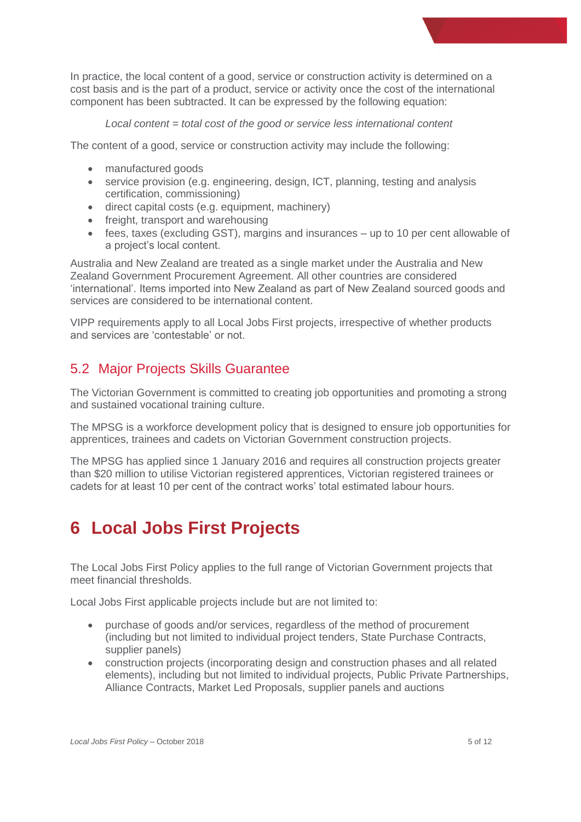In practice, the local content of a good, service or construction activity is determined on a cost basis and is the part of a product, service or activity once the cost of the international component has been subtracted. It can be expressed by the following equation:

*Local content = total cost of the good or service less international content*

The content of a good, service or construction activity may include the following:

- manufactured goods
- service provision (e.g. engineering, design, ICT, planning, testing and analysis certification, commissioning)
- direct capital costs (e.g. equipment, machinery)
- freight, transport and warehousing
- fees, taxes (excluding GST), margins and insurances up to 10 per cent allowable of a project's local content.

Australia and New Zealand are treated as a single market under the Australia and New Zealand Government Procurement Agreement. All other countries are considered 'international'. Items imported into New Zealand as part of New Zealand sourced goods and services are considered to be international content.

VIPP requirements apply to all Local Jobs First projects, irrespective of whether products and services are 'contestable' or not.

#### <span id="page-5-0"></span>5.2 Major Projects Skills Guarantee

The Victorian Government is committed to creating job opportunities and promoting a strong and sustained vocational training culture.

The MPSG is a workforce development policy that is designed to ensure job opportunities for apprentices, trainees and cadets on Victorian Government construction projects.

The MPSG has applied since 1 January 2016 and requires all construction projects greater than \$20 million to utilise Victorian registered apprentices, Victorian registered trainees or cadets for at least 10 per cent of the contract works' total estimated labour hours.

# <span id="page-5-1"></span>**6 Local Jobs First Projects**

The Local Jobs First Policy applies to the full range of Victorian Government projects that meet financial thresholds.

Local Jobs First applicable projects include but are not limited to:

- purchase of goods and/or services, regardless of the method of procurement (including but not limited to individual project tenders, State Purchase Contracts, supplier panels)
- construction projects (incorporating design and construction phases and all related elements), including but not limited to individual projects, Public Private Partnerships, Alliance Contracts, Market Led Proposals, supplier panels and auctions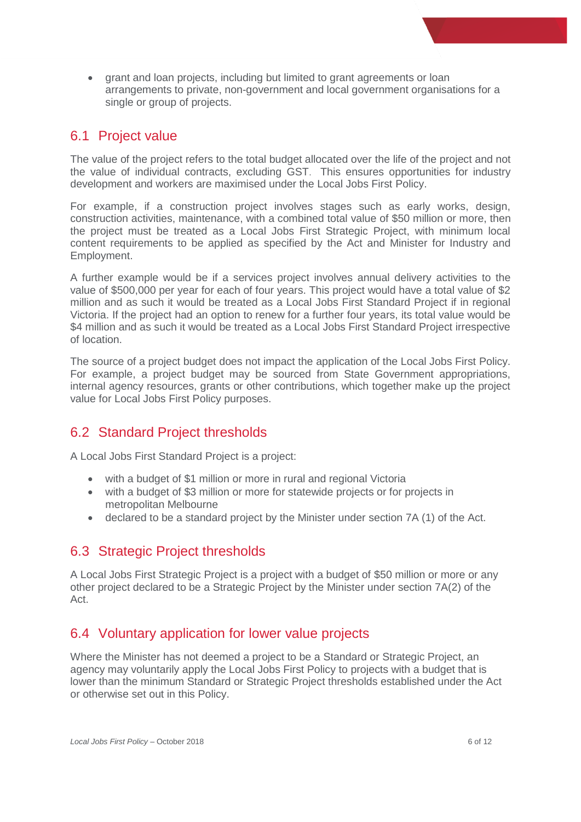• grant and loan projects, including but limited to grant agreements or loan arrangements to private, non-government and local government organisations for a single or group of projects.

#### <span id="page-6-0"></span>6.1 Project value

The value of the project refers to the total budget allocated over the life of the project and not the value of individual contracts, excluding GST. This ensures opportunities for industry development and workers are maximised under the Local Jobs First Policy.

For example, if a construction project involves stages such as early works, design, construction activities, maintenance, with a combined total value of \$50 million or more, then the project must be treated as a Local Jobs First Strategic Project, with minimum local content requirements to be applied as specified by the Act and Minister for Industry and Employment.

A further example would be if a services project involves annual delivery activities to the value of \$500,000 per year for each of four years. This project would have a total value of \$2 million and as such it would be treated as a Local Jobs First Standard Project if in regional Victoria. If the project had an option to renew for a further four years, its total value would be \$4 million and as such it would be treated as a Local Jobs First Standard Project irrespective of location.

The source of a project budget does not impact the application of the Local Jobs First Policy. For example, a project budget may be sourced from State Government appropriations, internal agency resources, grants or other contributions, which together make up the project value for Local Jobs First Policy purposes.

#### <span id="page-6-1"></span>6.2 Standard Project thresholds

A Local Jobs First Standard Project is a project:

- with a budget of \$1 million or more in rural and regional Victoria
- with a budget of \$3 million or more for statewide projects or for projects in metropolitan Melbourne
- declared to be a standard project by the Minister under section 7A (1) of the Act.

#### <span id="page-6-2"></span>6.3 Strategic Project thresholds

A Local Jobs First Strategic Project is a project with a budget of \$50 million or more or any other project declared to be a Strategic Project by the Minister under section 7A(2) of the Act.

#### <span id="page-6-3"></span>6.4 Voluntary application for lower value projects

Where the Minister has not deemed a project to be a Standard or Strategic Project, an agency may voluntarily apply the Local Jobs First Policy to projects with a budget that is lower than the minimum Standard or Strategic Project thresholds established under the Act or otherwise set out in this Policy.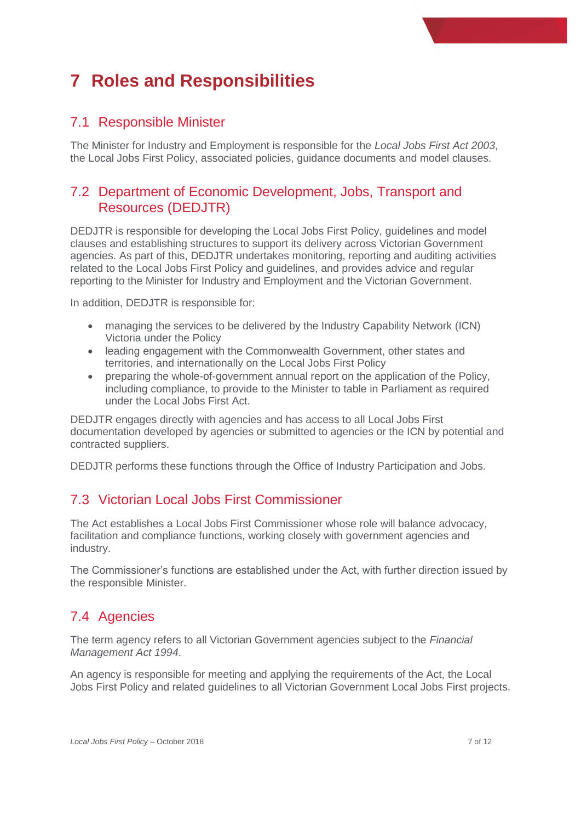# <span id="page-7-0"></span>**7 Roles and Responsibilities**

#### <span id="page-7-1"></span>7.1 Responsible Minister

The Minister for Industry and Employment is responsible for the *Local Jobs First Act 2003*, the Local Jobs First Policy, associated policies, guidance documents and model clauses.

#### <span id="page-7-2"></span>7.2 Department of Economic Development, Jobs, Transport and Resources (DEDJTR)

DEDJTR is responsible for developing the Local Jobs First Policy, guidelines and model clauses and establishing structures to support its delivery across Victorian Government agencies. As part of this, DEDJTR undertakes monitoring, reporting and auditing activities related to the Local Jobs First Policy and guidelines, and provides advice and regular reporting to the Minister for Industry and Employment and the Victorian Government.

In addition, DEDJTR is responsible for:

- managing the services to be delivered by the Industry Capability Network (ICN) Victoria under the Policy
- leading engagement with the Commonwealth Government, other states and territories, and internationally on the Local Jobs First Policy
- preparing the whole-of-government annual report on the application of the Policy, including compliance, to provide to the Minister to table in Parliament as required under the Local Jobs First Act.

DEDJTR engages directly with agencies and has access to all Local Jobs First documentation developed by agencies or submitted to agencies or the ICN by potential and contracted suppliers.

DEDJTR performs these functions through the Office of Industry Participation and Jobs.

#### <span id="page-7-3"></span>7.3 Victorian Local Jobs First Commissioner

The Act establishes a Local Jobs First Commissioner whose role will balance advocacy, facilitation and compliance functions, working closely with government agencies and industry.

The Commissioner's functions are established under the Act, with further direction issued by the responsible Minister.

#### <span id="page-7-4"></span>7.4 Agencies

The term agency refers to all Victorian Government agencies subject to the *Financial Management Act 1994*.

An agency is responsible for meeting and applying the requirements of the Act, the Local Jobs First Policy and related guidelines to all Victorian Government Local Jobs First projects.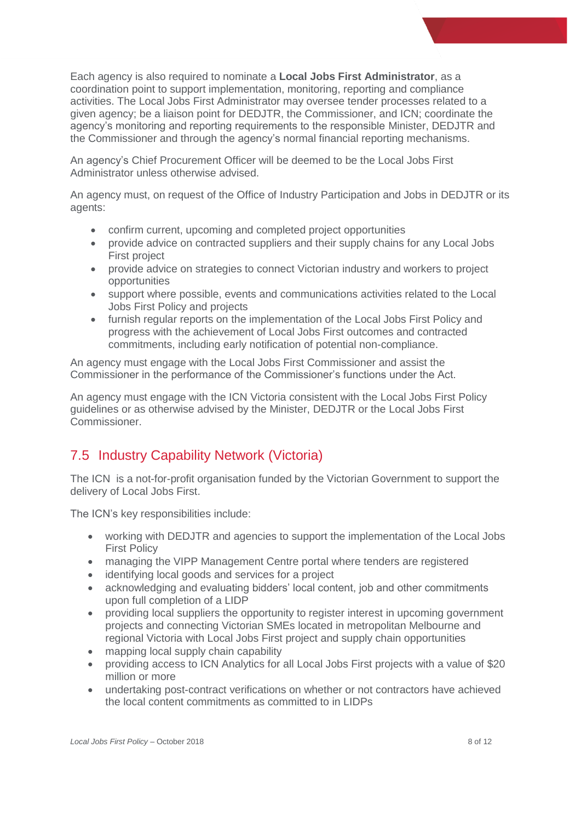Each agency is also required to nominate a **Local Jobs First Administrator**, as a coordination point to support implementation, monitoring, reporting and compliance activities. The Local Jobs First Administrator may oversee tender processes related to a given agency; be a liaison point for DEDJTR, the Commissioner, and ICN; coordinate the agency's monitoring and reporting requirements to the responsible Minister, DEDJTR and the Commissioner and through the agency's normal financial reporting mechanisms.

An agency's Chief Procurement Officer will be deemed to be the Local Jobs First Administrator unless otherwise advised.

An agency must, on request of the Office of Industry Participation and Jobs in DEDJTR or its agents:

- confirm current, upcoming and completed project opportunities
- provide advice on contracted suppliers and their supply chains for any Local Jobs First project
- provide advice on strategies to connect Victorian industry and workers to project opportunities
- support where possible, events and communications activities related to the Local Jobs First Policy and projects
- furnish regular reports on the implementation of the Local Jobs First Policy and progress with the achievement of Local Jobs First outcomes and contracted commitments, including early notification of potential non-compliance.

An agency must engage with the Local Jobs First Commissioner and assist the Commissioner in the performance of the Commissioner's functions under the Act.

An agency must engage with the ICN Victoria consistent with the Local Jobs First Policy guidelines or as otherwise advised by the Minister, DEDJTR or the Local Jobs First Commissioner.

#### <span id="page-8-0"></span>7.5 Industry Capability Network (Victoria)

The ICN is a not-for-profit organisation funded by the Victorian Government to support the delivery of Local Jobs First.

The ICN's key responsibilities include:

- working with DEDJTR and agencies to support the implementation of the Local Jobs First Policy
- managing the VIPP Management Centre portal where tenders are registered
- identifying local goods and services for a project
- acknowledging and evaluating bidders' local content, job and other commitments upon full completion of a LIDP
- providing local suppliers the opportunity to register interest in upcoming government projects and connecting Victorian SMEs located in metropolitan Melbourne and regional Victoria with Local Jobs First project and supply chain opportunities
- mapping local supply chain capability
- providing access to ICN Analytics for all Local Jobs First projects with a value of \$20 million or more
- undertaking post-contract verifications on whether or not contractors have achieved the local content commitments as committed to in LIDPs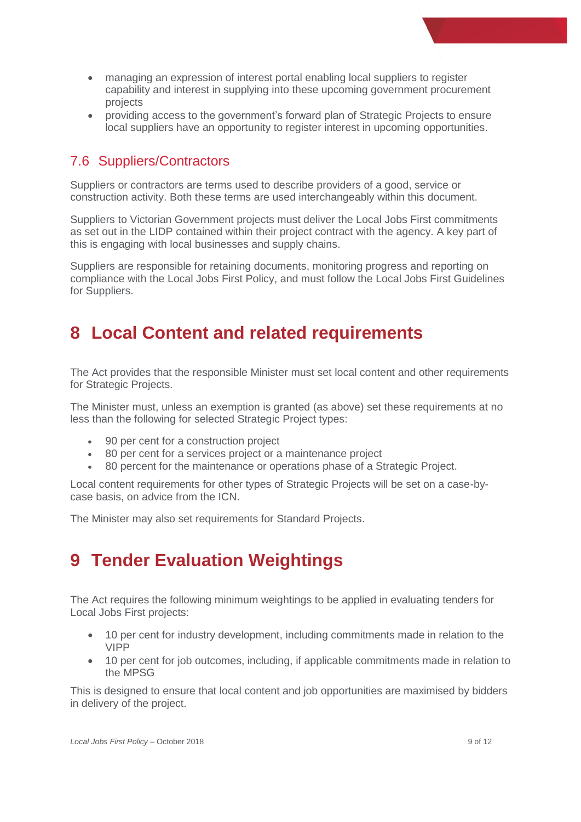- managing an expression of interest portal enabling local suppliers to register capability and interest in supplying into these upcoming government procurement projects
- providing access to the government's forward plan of Strategic Projects to ensure local suppliers have an opportunity to register interest in upcoming opportunities.

#### <span id="page-9-0"></span>7.6 Suppliers/Contractors

Suppliers or contractors are terms used to describe providers of a good, service or construction activity. Both these terms are used interchangeably within this document.

Suppliers to Victorian Government projects must deliver the Local Jobs First commitments as set out in the LIDP contained within their project contract with the agency. A key part of this is engaging with local businesses and supply chains.

Suppliers are responsible for retaining documents, monitoring progress and reporting on compliance with the Local Jobs First Policy, and must follow the Local Jobs First Guidelines for Suppliers.

### <span id="page-9-1"></span>**8 Local Content and related requirements**

The Act provides that the responsible Minister must set local content and other requirements for Strategic Projects.

The Minister must, unless an exemption is granted (as above) set these requirements at no less than the following for selected Strategic Project types:

- 90 per cent for a construction project
- 80 per cent for a services project or a maintenance project
- 80 percent for the maintenance or operations phase of a Strategic Project.

Local content requirements for other types of Strategic Projects will be set on a case-bycase basis, on advice from the ICN.

The Minister may also set requirements for Standard Projects.

### <span id="page-9-2"></span>**9 Tender Evaluation Weightings**

The Act requires the following minimum weightings to be applied in evaluating tenders for Local Jobs First projects:

- 10 per cent for industry development, including commitments made in relation to the VIPP
- 10 per cent for job outcomes, including, if applicable commitments made in relation to the MPSG

This is designed to ensure that local content and job opportunities are maximised by bidders in delivery of the project.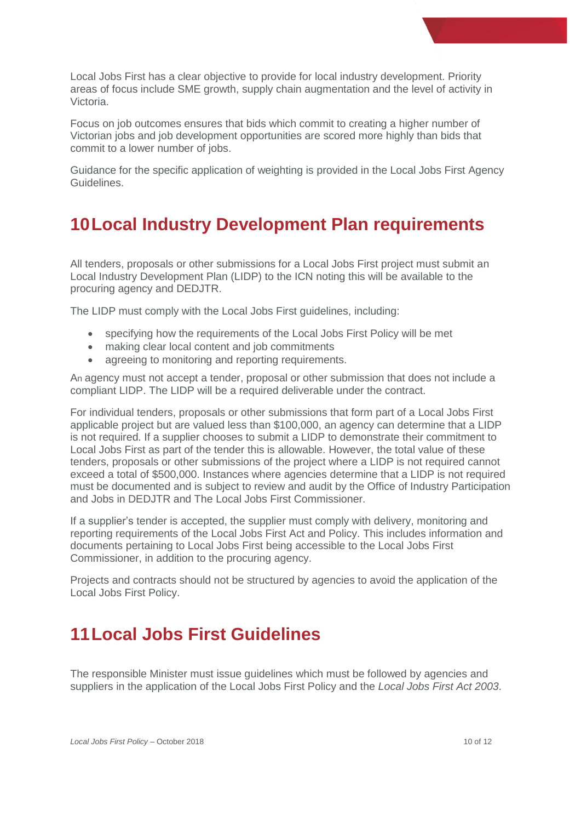Local Jobs First has a clear objective to provide for local industry development. Priority areas of focus include SME growth, supply chain augmentation and the level of activity in Victoria.

Focus on job outcomes ensures that bids which commit to creating a higher number of Victorian jobs and job development opportunities are scored more highly than bids that commit to a lower number of jobs.

Guidance for the specific application of weighting is provided in the Local Jobs First Agency Guidelines.

# <span id="page-10-0"></span>**10Local Industry Development Plan requirements**

All tenders, proposals or other submissions for a Local Jobs First project must submit an Local Industry Development Plan (LIDP) to the ICN noting this will be available to the procuring agency and DEDJTR.

The LIDP must comply with the Local Jobs First guidelines, including:

- specifying how the requirements of the Local Jobs First Policy will be met
- making clear local content and job commitments
- agreeing to monitoring and reporting requirements.

An agency must not accept a tender, proposal or other submission that does not include a compliant LIDP. The LIDP will be a required deliverable under the contract.

For individual tenders, proposals or other submissions that form part of a Local Jobs First applicable project but are valued less than \$100,000, an agency can determine that a LIDP is not required. If a supplier chooses to submit a LIDP to demonstrate their commitment to Local Jobs First as part of the tender this is allowable. However, the total value of these tenders, proposals or other submissions of the project where a LIDP is not required cannot exceed a total of \$500,000. Instances where agencies determine that a LIDP is not required must be documented and is subject to review and audit by the Office of Industry Participation and Jobs in DEDJTR and The Local Jobs First Commissioner.

If a supplier's tender is accepted, the supplier must comply with delivery, monitoring and reporting requirements of the Local Jobs First Act and Policy. This includes information and documents pertaining to Local Jobs First being accessible to the Local Jobs First Commissioner, in addition to the procuring agency.

Projects and contracts should not be structured by agencies to avoid the application of the Local Jobs First Policy.

# <span id="page-10-1"></span>**11Local Jobs First Guidelines**

The responsible Minister must issue guidelines which must be followed by agencies and suppliers in the application of the Local Jobs First Policy and the *Local Jobs First Act 2003*.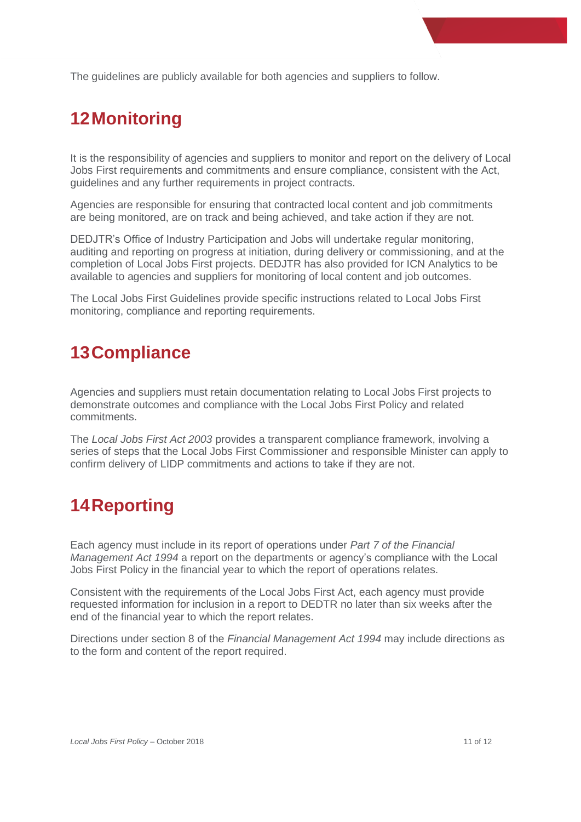The guidelines are publicly available for both agencies and suppliers to follow.

# <span id="page-11-0"></span>**12Monitoring**

It is the responsibility of agencies and suppliers to monitor and report on the delivery of Local Jobs First requirements and commitments and ensure compliance, consistent with the Act, guidelines and any further requirements in project contracts.

Agencies are responsible for ensuring that contracted local content and job commitments are being monitored, are on track and being achieved, and take action if they are not.

DEDJTR's Office of Industry Participation and Jobs will undertake regular monitoring, auditing and reporting on progress at initiation, during delivery or commissioning, and at the completion of Local Jobs First projects. DEDJTR has also provided for ICN Analytics to be available to agencies and suppliers for monitoring of local content and job outcomes.

The Local Jobs First Guidelines provide specific instructions related to Local Jobs First monitoring, compliance and reporting requirements.

# <span id="page-11-1"></span>**13Compliance**

Agencies and suppliers must retain documentation relating to Local Jobs First projects to demonstrate outcomes and compliance with the Local Jobs First Policy and related commitments.

The *Local Jobs First Act 2003* provides a transparent compliance framework, involving a series of steps that the Local Jobs First Commissioner and responsible Minister can apply to confirm delivery of LIDP commitments and actions to take if they are not.

# <span id="page-11-2"></span>**14Reporting**

Each agency must include in its report of operations under *Part 7 of the Financial Management Act 1994* a report on the departments or agency's compliance with the Local Jobs First Policy in the financial year to which the report of operations relates.

Consistent with the requirements of the Local Jobs First Act, each agency must provide requested information for inclusion in a report to DEDTR no later than six weeks after the end of the financial year to which the report relates.

Directions under section 8 of the *Financial Management Act 1994* may include directions as to the form and content of the report required.